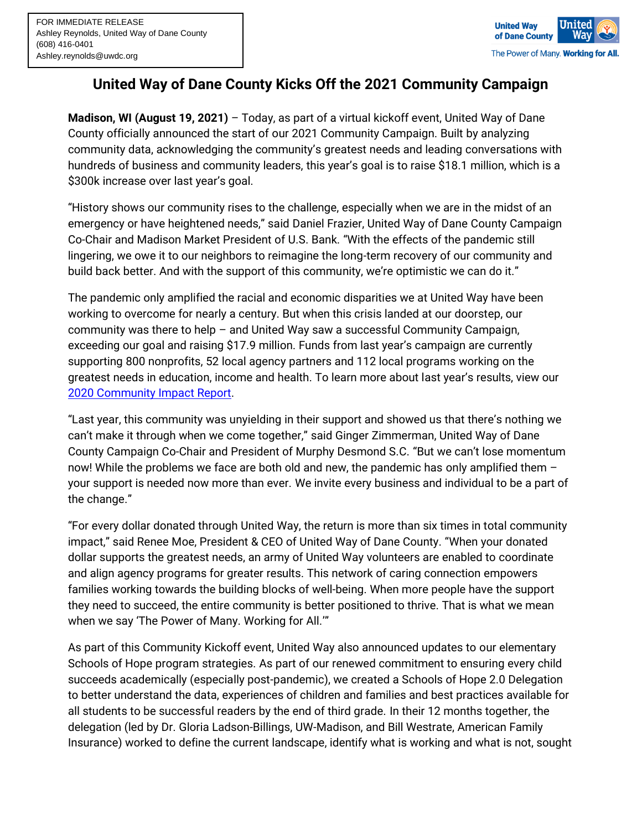

## **United Way of Dane County Kicks Off the 2021 Community Campaign**

**Madison, WI (August 19, 2021)** – Today, as part of a virtual kickoff event, United Way of Dane County officially announced the start of our 2021 Community Campaign. Built by analyzing community data, acknowledging the community's greatest needs and leading conversations with hundreds of business and community leaders, this year's goal is to raise \$18.1 million, which is a \$300k increase over last year's goal.

"History shows our community rises to the challenge, especially when we are in the midst of an emergency or have heightened needs," said Daniel Frazier, United Way of Dane County Campaign Co-Chair and Madison Market President of U.S. Bank. "With the effects of the pandemic still lingering, we owe it to our neighbors to reimagine the long-term recovery of our community and build back better. And with the support of this community, we're optimistic we can do it."

The pandemic only amplified the racial and economic disparities we at United Way have been working to overcome for nearly a century. But when this crisis landed at our doorstep, our community was there to help – and United Way saw a successful Community Campaign, exceeding our goal and raising \$17.9 million. Funds from last year's campaign are currently supporting 800 nonprofits, 52 local agency partners and 112 local programs working on the greatest needs in education, income and health. To learn more about last year's results, view our [2020 Community Impact Report.](https://www.unitedwaydanecounty.org/wp-content/uploads/2020-Community-Impact-Report.pdf)

"Last year, this community was unyielding in their support and showed us that there's nothing we can't make it through when we come together," said Ginger Zimmerman, United Way of Dane County Campaign Co-Chair and President of Murphy Desmond S.C. "But we can't lose momentum now! While the problems we face are both old and new, the pandemic has only amplified them – your support is needed now more than ever. We invite every business and individual to be a part of the change."

"For every dollar donated through United Way, the return is more than six times in total community impact," said Renee Moe, President & CEO of United Way of Dane County. "When your donated dollar supports the greatest needs, an army of United Way volunteers are enabled to coordinate and align agency programs for greater results. This network of caring connection empowers families working towards the building blocks of well-being. When more people have the support they need to succeed, the entire community is better positioned to thrive. That is what we mean when we say 'The Power of Many. Working for All.'"

As part of this Community Kickoff event, United Way also announced updates to our elementary Schools of Hope program strategies. As part of our renewed commitment to ensuring every child succeeds academically (especially post-pandemic), we created a Schools of Hope 2.0 Delegation to better understand the data, experiences of children and families and best practices available for all students to be successful readers by the end of third grade. In their 12 months together, the delegation (led by Dr. Gloria Ladson-Billings, UW-Madison, and Bill Westrate, American Family Insurance) worked to define the current landscape, identify what is working and what is not, sought